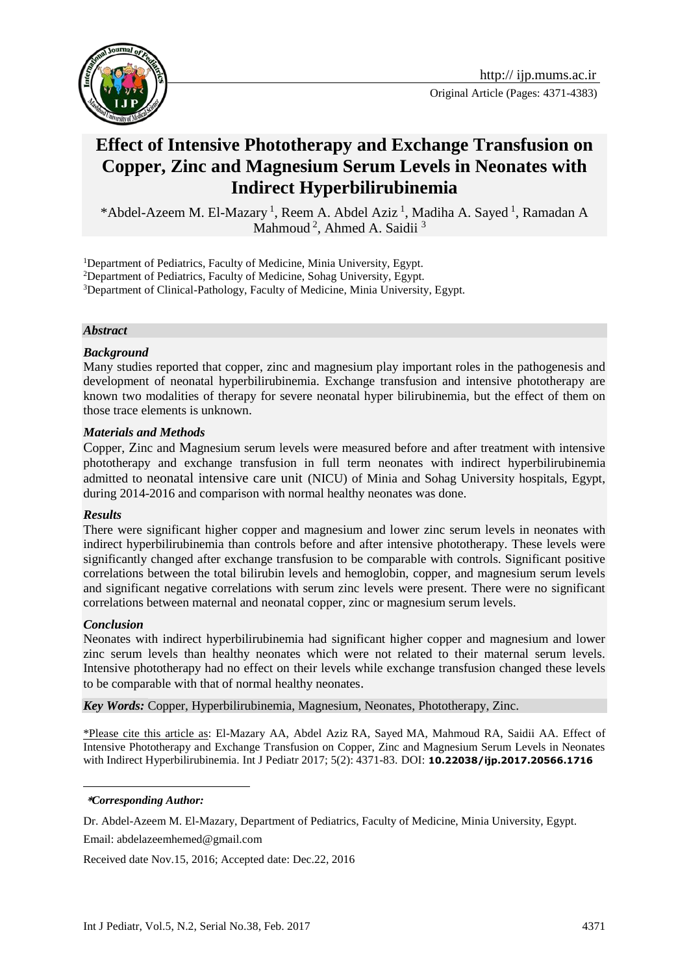

Original Article (Pages: 4371-4383)

# **Effect of Intensive Phototherapy and Exchange Transfusion on Copper, Zinc and Magnesium Serum Levels in Neonates with Indirect Hyperbilirubinemia**

\*Abdel-Azeem M. El-Mazary<sup>1</sup>, Reem A. Abdel Aziz<sup>1</sup>, Madiha A. Sayed<sup>1</sup>, Ramadan A Mahmoud<sup>2</sup>, Ahmed A. Saidii<sup>3</sup>

<sup>1</sup>Department of Pediatrics, Faculty of Medicine, Minia University, Egypt.

<sup>2</sup>Department of Pediatrics, Faculty of Medicine, Sohag University, Egypt.

<sup>3</sup>Department of Clinical-Pathology, Faculty of Medicine, Minia University, Egypt.

#### *Abstract*

#### *Background*

Many studies reported that copper, zinc and magnesium play important roles in the pathogenesis and development of neonatal hyperbilirubinemia. Exchange transfusion and intensive phototherapy are known two modalities of therapy for severe neonatal hyper bilirubinemia, but the effect of them on those trace elements is unknown.

#### *Materials and Methods*

Copper, Zinc and Magnesium serum levels were measured before and after treatment with intensive phototherapy and exchange transfusion in full term neonates with indirect hyperbilirubinemia admitted to neonatal intensive care unit (NICU) of Minia and Sohag University hospitals, Egypt, during 2014-2016 and comparison with normal healthy neonates was done.

#### *Results*

There were significant higher copper and magnesium and lower zinc serum levels in neonates with indirect hyperbilirubinemia than controls before and after intensive phototherapy. These levels were significantly changed after exchange transfusion to be comparable with controls. Significant positive correlations between the total bilirubin levels and hemoglobin, copper, and magnesium serum levels and significant negative correlations with serum zinc levels were present. There were no significant correlations between maternal and neonatal copper, zinc or magnesium serum levels.

## *Conclusion*

1

Neonates with indirect hyperbilirubinemia had significant higher copper and magnesium and lower zinc serum levels than healthy neonates which were not related to their maternal serum levels. Intensive phototherapy had no effect on their levels while exchange transfusion changed these levels to be comparable with that of normal healthy neonates.

*Key Words:* Copper, Hyperbilirubinemia, Magnesium, Neonates, Phototherapy, Zinc.

\*Please cite this article as: El-Mazary AA, Abdel Aziz RA, Sayed MA, Mahmoud RA, Saidii AA. Effect of Intensive Phototherapy and Exchange Transfusion on Copper, Zinc and Magnesium Serum Levels in Neonates with Indirect Hyperbilirubinemia. Int J Pediatr 2017; 5(2): 4371-83. DOI: **10.22038/ijp.2017.20566.1716**

**\****Corresponding Author:*

Dr. Abdel-Azeem M. El-Mazary, Department of Pediatrics, Faculty of Medicine, Minia University, Egypt.

Email: abdelazeemhemed@gmail.com

Received date Nov.15, 2016; Accepted date: Dec.22, 2016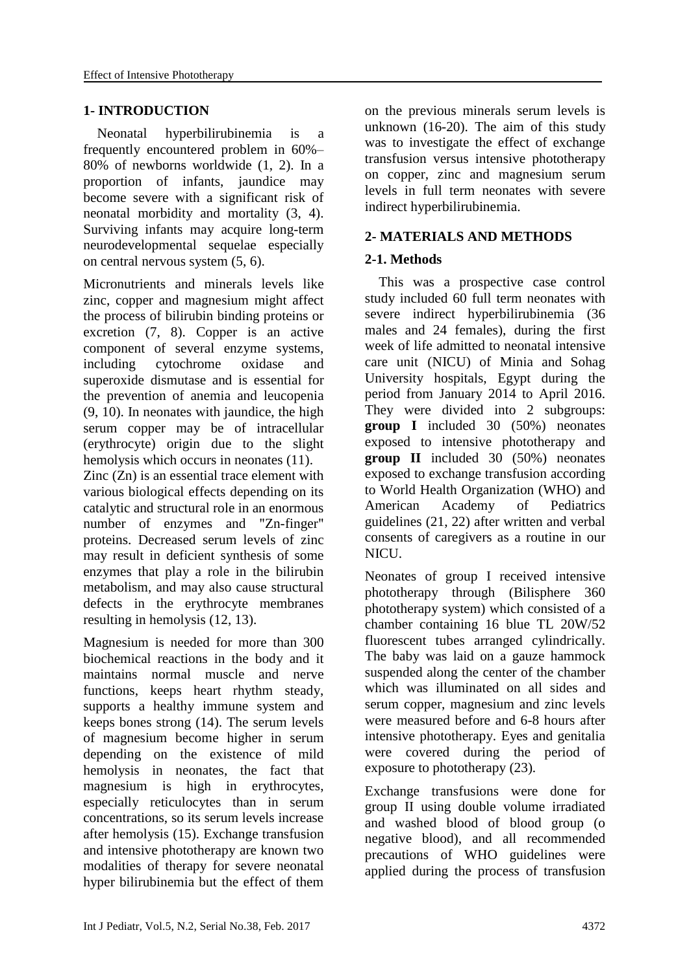# **1- INTRODUCTION**

 Neonatal hyperbilirubinemia is a frequently encountered problem in 60%– 80% of newborns worldwide (1, 2). In a proportion of infants, jaundice may become severe with a significant risk of neonatal morbidity and mortality (3, 4). Surviving infants may acquire long-term neurodevelopmental sequelae especially on central nervous system (5, 6).

Micronutrients and minerals levels like zinc, copper and magnesium might affect the process of bilirubin binding proteins or excretion (7, 8). Copper is an active component of several enzyme systems, including cytochrome oxidase and superoxide dismutase and is essential for the prevention of anemia and leucopenia (9, 10). In neonates with jaundice, the high serum copper may be of intracellular (erythrocyte) origin due to the slight hemolysis which occurs in neonates  $(11)$ . Zinc (Zn) is an essential trace element with various biological effects depending on its catalytic and structural role in an enormous number of enzymes and "Zn-finger" proteins. Decreased serum levels of zinc may result in deficient synthesis of some enzymes that play a role in the bilirubin metabolism, and may also cause structural defects in the erythrocyte membranes resulting in hemolysis (12, 13).

Magnesium is needed for more than 300 biochemical reactions in the body and it maintains normal muscle and nerve functions, keeps heart rhythm steady, supports a healthy immune system and keeps bones strong (14). The serum levels of magnesium become higher in serum depending on the existence of mild hemolysis in neonates, the fact that magnesium is high in erythrocytes, especially reticulocytes than in serum concentrations, so its serum levels increase after hemolysis (15). Exchange transfusion and intensive phototherapy are known two modalities of therapy for severe neonatal hyper bilirubinemia but the effect of them on the previous minerals serum levels is unknown (16-20). The aim of this study was to investigate the effect of exchange transfusion versus intensive phototherapy on copper, zinc and magnesium serum levels in full term neonates with severe indirect hyperbilirubinemia.

## **2- MATERIALS AND METHODS**

## **2-1. Methods**

 This was a prospective case control study included 60 full term neonates with severe indirect hyperbilirubinemia (36 males and 24 females), during the first week of life admitted to neonatal intensive care unit (NICU) of Minia and Sohag University hospitals, Egypt during the period from January 2014 to April 2016. They were divided into 2 subgroups: **group I** included 30 (50%) neonates exposed to intensive phototherapy and **group II** included 30 (50%) neonates exposed to exchange transfusion according to World Health Organization (WHO) and American Academy of Pediatrics guidelines (21, 22) after written and verbal consents of caregivers as a routine in our NICU.

Neonates of group I received intensive phototherapy through (Bilisphere 360 phototherapy system) which consisted of a chamber containing 16 blue TL 20W/52 fluorescent tubes arranged cylindrically. The baby was laid on a gauze hammock suspended along the center of the chamber which was illuminated on all sides and serum copper, magnesium and zinc levels were measured before and 6-8 hours after intensive phototherapy. Eyes and genitalia were covered during the period of exposure to phototherapy (23).

Exchange transfusions were done for group II using double volume irradiated and washed blood of blood group (o negative blood), and all recommended precautions of WHO guidelines were applied during the process of transfusion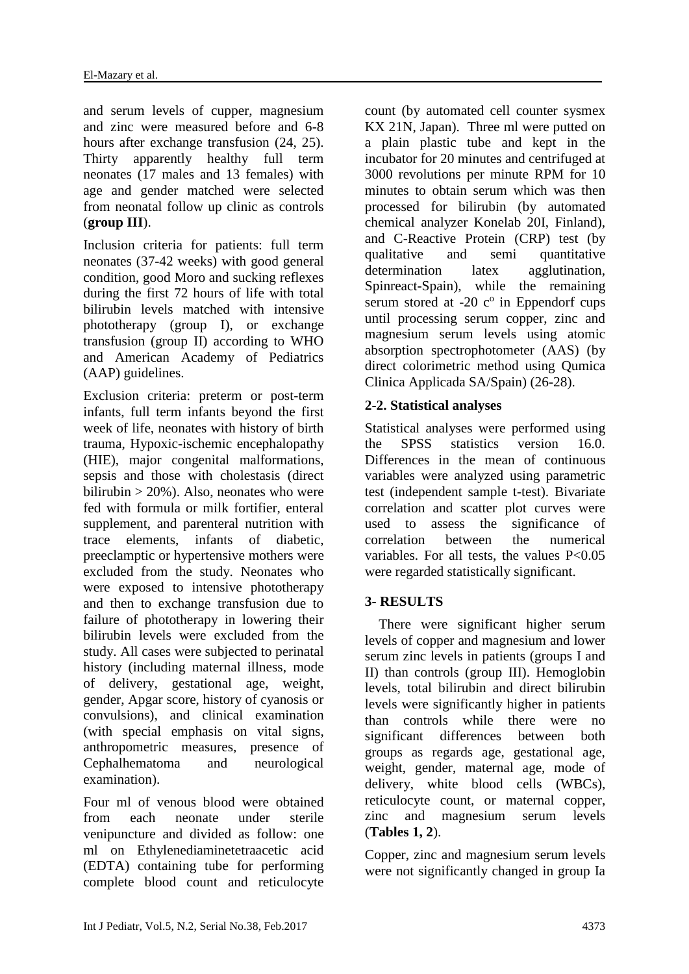and serum levels of cupper, magnesium and zinc were measured before and 6-8 hours after exchange transfusion  $(24, 25)$ . Thirty apparently healthy full term neonates (17 males and 13 females) with age and gender matched were selected from neonatal follow up clinic as controls (**group III**).

Inclusion criteria for patients: full term neonates (37-42 weeks) with good general condition, good Moro and sucking reflexes during the first 72 hours of life with total bilirubin levels matched with intensive phototherapy (group I), or exchange transfusion (group II) according to WHO and American Academy of Pediatrics (AAP) guidelines.

Exclusion criteria: preterm or post-term infants, full term infants beyond the first week of life, neonates with history of birth trauma, Hypoxic-ischemic encephalopathy (HIE), major congenital malformations, sepsis and those with cholestasis (direct bilirubin  $> 20\%$ ). Also, neonates who were fed with formula or milk fortifier, enteral supplement, and parenteral nutrition with trace elements, infants of diabetic, preeclamptic or hypertensive mothers were excluded from the study. Neonates who were exposed to intensive phototherapy and then to exchange transfusion due to failure of phototherapy in lowering their bilirubin levels were excluded from the study. All cases were subjected to perinatal history (including maternal illness, mode of delivery, gestational age, weight, gender, Apgar score, history of cyanosis or convulsions), and clinical examination (with special emphasis on vital signs, anthropometric measures, presence of Cephalhematoma and neurological examination).

Four ml of venous blood were obtained from each neonate under sterile venipuncture and divided as follow: one ml on Ethylenediaminetetraacetic acid (EDTA) containing tube for performing complete blood count and reticulocyte count (by automated cell counter sysmex KX 21N, Japan). Three ml were putted on a plain plastic tube and kept in the incubator for 20 minutes and centrifuged at 3000 revolutions per minute RPM for 10 minutes to obtain serum which was then processed for bilirubin (by automated chemical analyzer Konelab 20I, Finland), and C-Reactive Protein (CRP) test (by qualitative and semi quantitative determination latex agglutination, Spinreact-Spain), while the remaining serum stored at -20  $c^{\circ}$  in Eppendorf cups until processing serum copper, zinc and magnesium serum levels using atomic absorption spectrophotometer (AAS) (by direct colorimetric method using Qumica Clinica Applicada SA/Spain) (26-28).

# **2-2. Statistical analyses**

Statistical analyses were performed using the SPSS statistics version 16.0. Differences in the mean of continuous variables were analyzed using parametric test (independent sample t-test). Bivariate correlation and scatter plot curves were used to assess the significance of correlation between the numerical variables. For all tests, the values P<0.05 were regarded statistically significant.

# **3- RESULTS**

 There were significant higher serum levels of copper and magnesium and lower serum zinc levels in patients (groups I and II) than controls (group III). Hemoglobin levels, total bilirubin and direct bilirubin levels were significantly higher in patients than controls while there were no significant differences between both groups as regards age, gestational age, weight, gender, maternal age, mode of delivery, white blood cells (WBCs), reticulocyte count, or maternal copper, zinc and magnesium serum levels (**Tables 1, 2**).

Copper, zinc and magnesium serum levels were not significantly changed in group Ia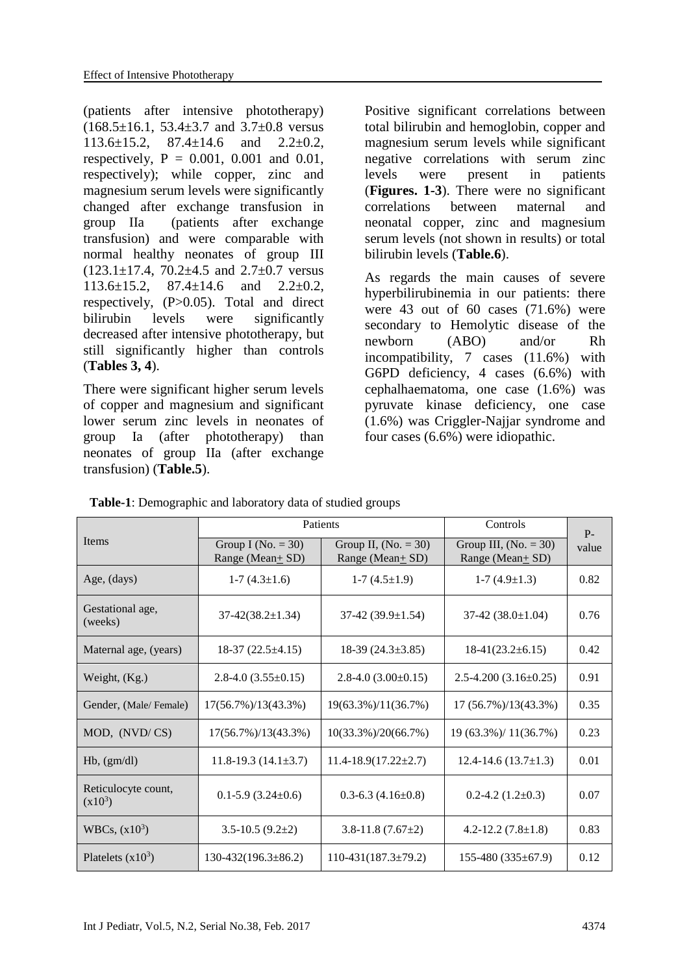(patients after intensive phototherapy) (168.5±16.1, 53.4±3.7 and 3.7±0.8 versus  $113.6 \pm 15.2$ ,  $87.4 \pm 14.6$  and  $2.2 \pm 0.2$ , respectively,  $P = 0.001$ ,  $0.001$  and  $0.01$ , respectively); while copper, zinc and magnesium serum levels were significantly changed after exchange transfusion in group IIa (patients after exchange transfusion) and were comparable with normal healthy neonates of group III  $(123.1 \pm 17.4, 70.2 \pm 4.5 \text{ and } 2.7 \pm 0.7 \text{ versus})$  $113.6 \pm 15.2$ ,  $87.4 \pm 14.6$  and  $2.2 \pm 0.2$ , respectively, (P>0.05). Total and direct bilirubin levels were significantly decreased after intensive phototherapy, but still significantly higher than controls (**Tables 3, 4**).

There were significant higher serum levels of copper and magnesium and significant lower serum zinc levels in neonates of group Ia (after phototherapy) than neonates of group IIa (after exchange transfusion) (**Table.5**).

Positive significant correlations between total bilirubin and hemoglobin, copper and magnesium serum levels while significant negative correlations with serum zinc levels were present in patients (**Figures. 1-3**). There were no significant correlations between maternal and neonatal copper, zinc and magnesium serum levels (not shown in results) or total bilirubin levels (**Table.6**).

As regards the main causes of severe hyperbilirubinemia in our patients: there were  $43$  out of  $60$  cases  $(71.6%)$  were secondary to Hemolytic disease of the newborn (ABO) and/or Rh incompatibility, 7 cases (11.6%) with G6PD deficiency, 4 cases (6.6%) with cephalhaematoma, one case (1.6%) was pyruvate kinase deficiency, one case (1.6%) was Criggler-Najjar syndrome and four cases (6.6%) were idiopathic.

| <b>Table-1</b> : Demographic and laboratory data of studied groups |  |
|--------------------------------------------------------------------|--|
|                                                                    |  |

|                                  | Patients                                 |                                                 | Controls                                   | $P -$ |
|----------------------------------|------------------------------------------|-------------------------------------------------|--------------------------------------------|-------|
| Items                            | Group I (No. $= 30$ )<br>Range (Mean+SD) | Group II, $(No. = 30)$<br>Range (Mean $\pm$ SD) | Group III, $(No. = 30)$<br>Range (Mean+SD) | value |
| Age, (days)                      | $1-7(4.3\pm1.6)$                         | $1-7(4.5\pm1.9)$                                | $1-7(4.9\pm1.3)$                           | 0.82  |
| Gestational age,<br>(weeks)      | $37-42(38.2 \pm 1.34)$                   | 37-42 (39.9 $\pm$ 1.54)                         | 37-42 $(38.0 \pm 1.04)$                    | 0.76  |
| Maternal age, (years)            | $18-37(22.5 \pm 4.15)$                   | $18-39(24.3\pm3.85)$                            | $18-41(23.2 \pm 6.15)$                     | 0.42  |
| Weight, $(Kg)$ .                 | $2.8-4.0(3.55\pm0.15)$                   | $2.8-4.0(3.00\pm0.15)$                          | $2.5 - 4.200(3.16 \pm 0.25)$               | 0.91  |
| Gender, (Male/Female)            | $17(56.7\%)/13(43.3\%)$                  | 19(63.3%)/11(36.7%)                             | 17 (56.7%)/13(43.3%)                       | 0.35  |
| MOD, (NVD/CS)                    | 17(56.7%)/13(43.3%)                      | 10(33.3%)/20(66.7%)                             | 19 (63.3%)/ 11(36.7%)                      | 0.23  |
| $Hb$ , $(gm/dl)$                 | $11.8-19.3(14.1\pm3.7)$                  | $11.4 - 18.9(17.22 \pm 2.7)$                    | $12.4 - 14.6(13.7 \pm 1.3)$                | 0.01  |
| Reticulocyte count,<br>$(x10^3)$ | $0.1 - 5.9$ (3.24 $\pm$ 0.6)             | $0.3 - 6.3$ (4.16 $\pm$ 0.8)                    | $0.2 - 4.2$ (1.2 $\pm$ 0.3)                | 0.07  |
| WBCs, $(x10^3)$                  | $3.5 - 10.5(9.2 \pm 2)$                  | $3.8 - 11.8$ (7.67 $\pm$ 2)                     | 4.2-12.2 $(7.8 \pm 1.8)$                   | 0.83  |
| Platelets $(x10^3)$              | $130-432(196.3\pm86.2)$                  | $110-431(187.3\pm79.2)$                         | $155-480(335\pm67.9)$                      | 0.12  |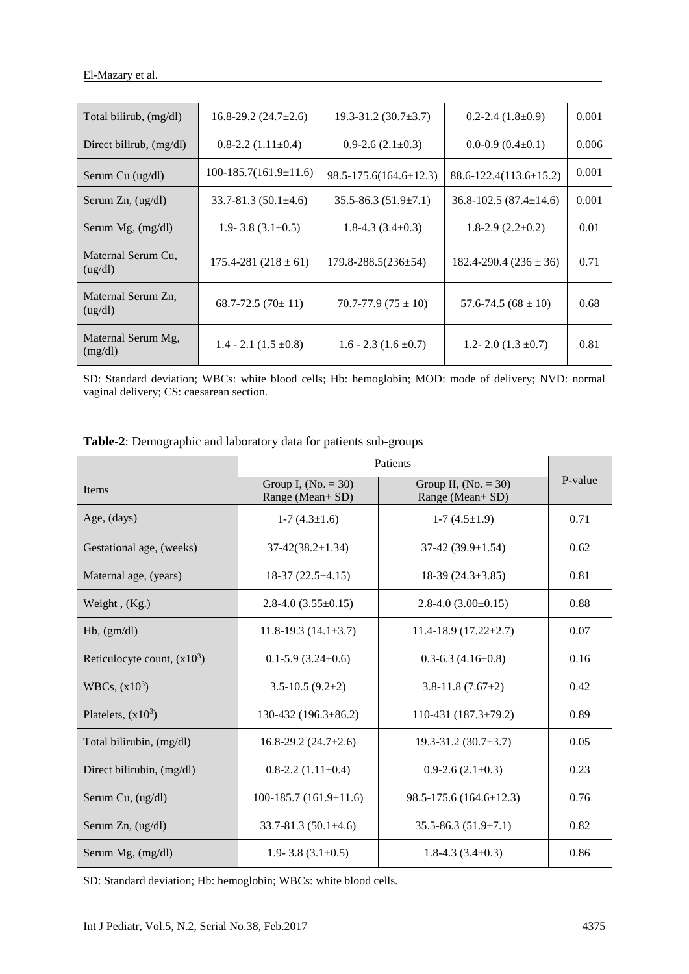| Total bilirub, (mg/dl)        | $16.8 - 29.2$ (24.7 $\pm$ 2.6) | $19.3 - 31.2$ (30.7 $\pm$ 3.7) | $0.2 - 2.4(1.8 \pm 0.9)$       | 0.001 |
|-------------------------------|--------------------------------|--------------------------------|--------------------------------|-------|
| Direct bilirub, $(mg/dl)$     | $0.8 - 2.2(1.11 \pm 0.4)$      | $0.9 - 2.6$ $(2.1 \pm 0.3)$    | $0.0 - 0.9$ $(0.4 \pm 0.1)$    | 0.006 |
| Serum Cu (ug/dl)              | $100-185.7(161.9\pm11.6)$      | $98.5 - 175.6(164.6 \pm 12.3)$ | $88.6 - 122.4(113.6 \pm 15.2)$ | 0.001 |
| Serum $Zn$ , $(ug/dl)$        | $33.7 - 81.3(50.1 \pm 4.6)$    | $35.5 - 86.3(51.9 \pm 7.1)$    | $36.8 - 102.5(87.4 \pm 14.6)$  | 0.001 |
| Serum Mg, (mg/dl)             | 1.9 - 3.8 $(3.1 \pm 0.5)$      | 1.8-4.3 $(3.4\pm0.3)$          | $1.8 - 2.9(2.2 \pm 0.2)$       | 0.01  |
| Maternal Serum Cu,<br>(ug/dl) | $175.4 - 281 (218 \pm 61)$     | $179.8 - 288.5(236 \pm 54)$    | $182.4 - 290.4(236 \pm 36)$    | 0.71  |
| Maternal Serum Zn,<br>(ug/dl) | $68.7 - 72.5(70 \pm 11)$       | $70.7 - 77.9(75 \pm 10)$       | $57.6 - 74.5(68 \pm 10)$       | 0.68  |
| Maternal Serum Mg,<br>(mg/dl) | 1.4 - 2.1 $(1.5 \pm 0.8)$      | $1.6 - 2.3(1.6 \pm 0.7)$       | 1.2 - 2.0 $(1.3 \pm 0.7)$      | 0.81  |

SD: Standard deviation; WBCs: white blood cells; Hb: hemoglobin; MOD: mode of delivery; NVD: normal vaginal delivery; CS: caesarean section.

|                               | Patients                                 |                                            |         |
|-------------------------------|------------------------------------------|--------------------------------------------|---------|
| Items                         | Group I, $(No. = 30)$<br>Range (Mean+SD) | Group II, $(No. = 30)$<br>Range (Mean+ SD) | P-value |
| Age, (days)                   | $1-7(4.3\pm1.6)$                         | $1-7(4.5\pm1.9)$                           | 0.71    |
| Gestational age, (weeks)      | $37-42(38.2 \pm 1.34)$                   | 37-42 (39.9 $\pm$ 1.54)                    | 0.62    |
| Maternal age, (years)         | $18-37(22.5 \pm 4.15)$                   | 18-39 $(24.3\pm3.85)$                      | 0.81    |
| Weight, $(Kg.)$               | $2.8-4.0(3.55\pm0.15)$                   | $2.8 - 4.0$ (3.00 $\pm$ 0.15)              | 0.88    |
| $Hb$ , $(gm/dl)$              | $11.8-19.3(14.1\pm3.7)$                  | $11.4 - 18.9(17.22 \pm 2.7)$               | 0.07    |
| Reticulocyte count, $(x10^3)$ | $0.1 - 5.9$ (3.24 $\pm$ 0.6)             | $0.3 - 6.3$ (4.16 $\pm$ 0.8)               | 0.16    |
| WBCs, $(x10^3)$               | $3.5 - 10.5(9.2 \pm 2)$                  | $3.8 - 11.8(7.67 \pm 2)$                   | 0.42    |
| Platelets, $(x10^3)$          | $130-432(196.3\pm86.2)$                  | 110-431 $(187.3\pm79.2)$                   | 0.89    |
| Total bilirubin, (mg/dl)      | 16.8-29.2 $(24.7\pm2.6)$                 | 19.3-31.2 $(30.7\pm3.7)$                   | 0.05    |
| Direct bilirubin, (mg/dl)     | $0.8 - 2.2$ $(1.11 \pm 0.4)$             | $0.9 - 2.6(2.1 \pm 0.3)$                   | 0.23    |
| Serum Cu, (ug/dl)             | $100-185.7(161.9\pm11.6)$                | $98.5 - 175.6$ (164.6 ± 12.3)              | 0.76    |
| Serum $Zn$ , $(ug/dl)$        | $33.7 - 81.3$ (50.1 $\pm$ 4.6)           | $35.5 - 86.3(51.9 \pm 7.1)$                | 0.82    |
| Serum Mg, (mg/dl)             | 1.9-3.8 $(3.1\pm0.5)$                    | 1.8-4.3 $(3.4\pm0.3)$                      | 0.86    |

**Table-2**: Demographic and laboratory data for patients sub-groups

SD: Standard deviation; Hb: hemoglobin; WBCs: white blood cells.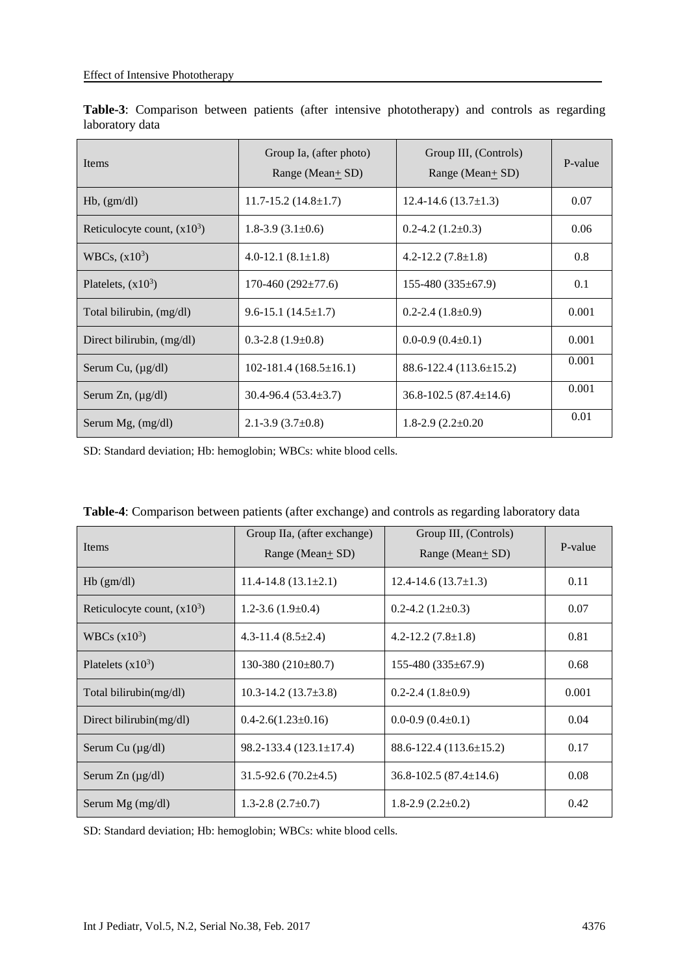| Items                         | Group Ia, (after photo)<br>Range (Mean $+$ SD) | Group III, (Controls)<br>Range (Mean $+$ SD) | P-value |
|-------------------------------|------------------------------------------------|----------------------------------------------|---------|
| $Hb$ , $(gm/dl)$              | $11.7 - 15.2$ (14.8 $\pm$ 1.7)                 | $12.4 - 14.6(13.7 \pm 1.3)$                  | 0.07    |
| Reticulocyte count, $(x10^3)$ | 1.8-3.9 $(3.1\pm0.6)$                          | $0.2 - 4.2$ (1.2 $\pm$ 0.3)                  | 0.06    |
| WBCs, $(x10^3)$               | 4.0-12.1 $(8.1 \pm 1.8)$                       | $4.2 - 12.2$ (7.8 $\pm$ 1.8)                 | 0.8     |
| Platelets, $(x10^3)$          | $170-460(292 \pm 77.6)$                        | $155-480(335\pm67.9)$                        | 0.1     |
| Total bilirubin, (mg/dl)      | $9.6 - 15.1$ (14.5 ± 1.7)                      | $0.2 - 2.4(1.8 \pm 0.9)$                     | 0.001   |
| Direct bilirubin, (mg/dl)     | $0.3 - 2.8$ (1.9 $\pm$ 0.8)                    | $0.0 - 0.9$ $(0.4 \pm 0.1)$                  | 0.001   |
| Serum Cu, $(\mu g/dl)$        | $102-181.4(168.5\pm16.1)$                      | $88.6 - 122.4(113.6 \pm 15.2)$               | 0.001   |
| Serum Zn, $(\mu g/dl)$        | $30.4 - 96.4(53.4 \pm 3.7)$                    | $36.8 - 102.5(87.4 \pm 14.6)$                | 0.001   |
| Serum Mg, (mg/dl)             | $2.1 - 3.9$ (3.7 $\pm$ 0.8)                    | $1.8 - 2.9(2.2 \pm 0.20)$                    | 0.01    |

**Table-3**: Comparison between patients (after intensive phototherapy) and controls as regarding laboratory data

SD: Standard deviation; Hb: hemoglobin; WBCs: white blood cells.

| <b>Items</b>                  | Group IIa, (after exchange)<br>Range (Mean+ SD) | Group III, (Controls)<br>Range (Mean+ SD) | P-value |
|-------------------------------|-------------------------------------------------|-------------------------------------------|---------|
| $Hb$ (gm/dl)                  | $11.4 - 14.8(13.1 \pm 2.1)$                     | $12.4 - 14.6(13.7 \pm 1.3)$               | 0.11    |
| Reticulocyte count, $(x10^3)$ | $1.2 - 3.6(1.9 \pm 0.4)$                        | $0.2 - 4.2$ (1.2 $\pm$ 0.3)               | 0.07    |
| WBCs $(x10^3)$                | $4.3 - 11.4$ $(8.5 \pm 2.4)$                    | $4.2 - 12.2$ (7.8 $\pm$ 1.8)              | 0.81    |
| Platelets $(x10^3)$           | 130-380 $(210\pm80.7)$                          | $155-480(335\pm67.9)$                     | 0.68    |
| Total bilirubin(mg/dl)        | 10.3-14.2 $(13.7\pm3.8)$                        | $0.2 - 2.4(1.8 \pm 0.9)$                  | 0.001   |
| Direct bilirubin( $mg/dl$ )   | $0.4 - 2.6(1.23 \pm 0.16)$                      | $0.0 - 0.9$ $(0.4 \pm 0.1)$               | 0.04    |
| Serum Cu (µg/dl)              | $98.2 - 133.4(123.1 \pm 17.4)$                  | $88.6 - 122.4(113.6 \pm 15.2)$            | 0.17    |
| Serum $Zn (\mu g/dl)$         | $31.5 - 92.6(70.2 \pm 4.5)$                     | $36.8 - 102.5(87.4 \pm 14.6)$             | 0.08    |
| Serum Mg (mg/dl)              | 1.3-2.8 $(2.7\pm0.7)$                           | $1.8 - 2.9(2.2 \pm 0.2)$                  | 0.42    |

**Table-4**: Comparison between patients (after exchange) and controls as regarding laboratory data

SD: Standard deviation; Hb: hemoglobin; WBCs: white blood cells.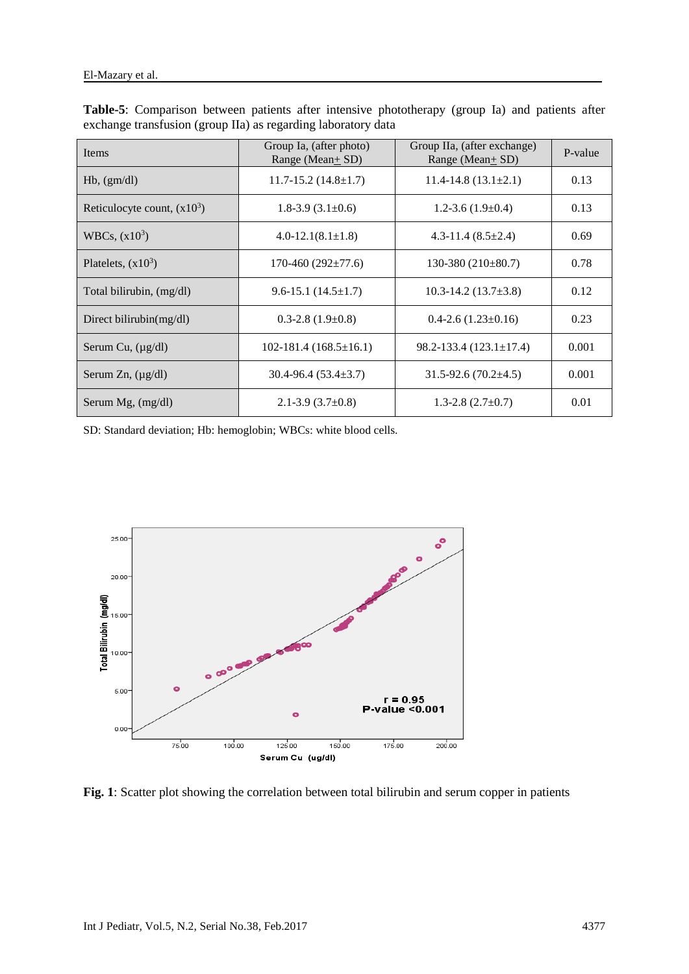| Items                         | Group Ia, (after photo)<br>Range (Mean $\pm$ SD) | Group IIa, (after exchange)<br>Range (Mean $+$ SD) | P-value |
|-------------------------------|--------------------------------------------------|----------------------------------------------------|---------|
| $Hb$ , $(gm/dl)$              | $11.7 - 15.2$ (14.8 $\pm$ 1.7)                   | $11.4 - 14.8(13.1 \pm 2.1)$                        | 0.13    |
| Reticulocyte count, $(x10^3)$ | 1.8-3.9 $(3.1\pm0.6)$                            | $1.2 - 3.6(1.9 \pm 0.4)$                           | 0.13    |
| WBCs, $(x10^3)$               | $4.0 - 12.1(8.1 \pm 1.8)$                        | 4.3-11.4 $(8.5 \pm 2.4)$                           | 0.69    |
| Platelets, $(x10^3)$          | $170-460(292\pm77.6)$                            | 130-380 $(210\pm80.7)$                             | 0.78    |
| Total bilirubin, (mg/dl)      | $9.6 - 15.1(14.5 \pm 1.7)$                       | $10.3 - 14.2$ (13.7 $\pm$ 3.8)                     | 0.12    |
| Direct bilirubin( $mg/dl$ )   | $0.3 - 2.8$ $(1.9 \pm 0.8)$                      | $0.4 - 2.6$ $(1.23 \pm 0.16)$                      | 0.23    |
| Serum Cu, $(\mu g/dl)$        | $102-181.4(168.5\pm16.1)$                        | $98.2 - 133.4(123.1 \pm 17.4)$                     | 0.001   |
| Serum Zn, $(\mu g/dl)$        | $30.4 - 96.4(53.4 \pm 3.7)$                      | $31.5 - 92.6(70.2 \pm 4.5)$                        | 0.001   |
| Serum Mg, $(mg/dl)$           | $2.1 - 3.9$ (3.7 $\pm$ 0.8)                      | $1.3 - 2.8$ $(2.7 \pm 0.7)$                        | 0.01    |

**Table-5**: Comparison between patients after intensive phototherapy (group Ia) and patients after exchange transfusion (group IIa) as regarding laboratory data

SD: Standard deviation; Hb: hemoglobin; WBCs: white blood cells.



**Fig. 1**: Scatter plot showing the correlation between total bilirubin and serum copper in patients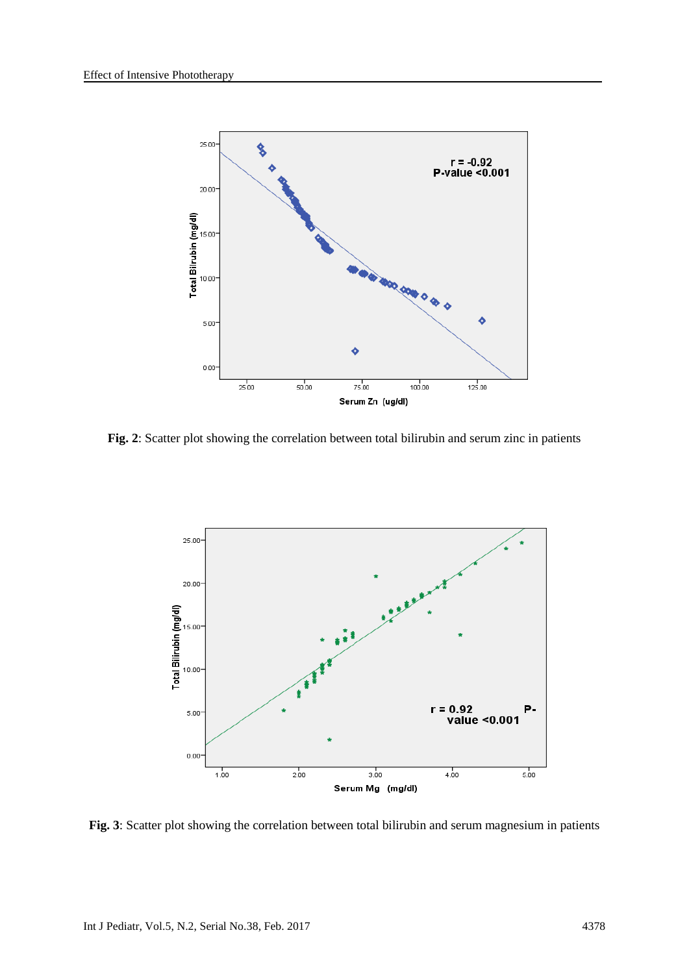

**Fig. 2**: Scatter plot showing the correlation between total bilirubin and serum zinc in patients



**Fig. 3**: Scatter plot showing the correlation between total bilirubin and serum magnesium in patients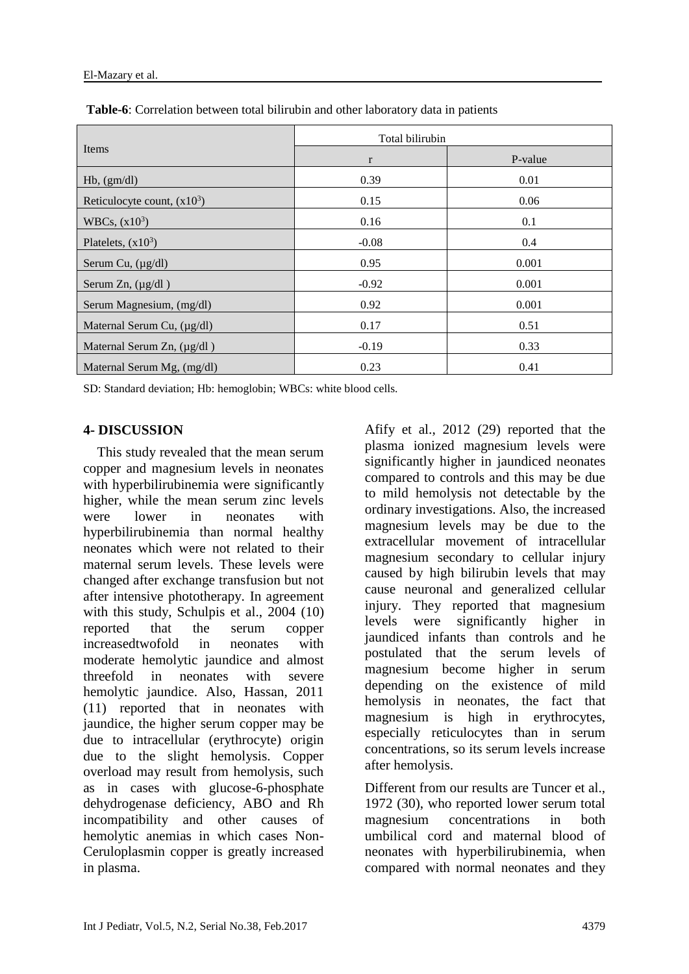|                                 | Total bilirubin |         |
|---------------------------------|-----------------|---------|
| Items                           | $\mathbf{r}$    | P-value |
| $Hb$ , $(gm/dl)$                | 0.39            | 0.01    |
| Reticulocyte count, $(x10^3)$   | 0.15            | 0.06    |
| WBCs, $(x10^3)$                 | 0.16            | 0.1     |
| Platelets, $(x10^3)$            | $-0.08$         | 0.4     |
| Serum Cu, $(\mu g/dl)$          | 0.95            | 0.001   |
| Serum Zn, $(\mu g/dl)$          | $-0.92$         | 0.001   |
| Serum Magnesium, (mg/dl)        | 0.92            | 0.001   |
| Maternal Serum Cu, (µg/dl)      | 0.17            | 0.51    |
| Maternal Serum Zn, $(\mu g/dl)$ | $-0.19$         | 0.33    |
| Maternal Serum Mg, (mg/dl)      | 0.23            | 0.41    |

**Table-6**: Correlation between total bilirubin and other laboratory data in patients

SD: Standard deviation; Hb: hemoglobin; WBCs: white blood cells.

## **4- DISCUSSION**

 This study revealed that the mean serum copper and magnesium levels in neonates with hyperbilirubinemia were significantly higher, while the mean serum zinc levels were lower in neonates with hyperbilirubinemia than normal healthy neonates which were not related to their maternal serum levels. These levels were changed after exchange transfusion but not after intensive phototherapy. In agreement with this study, Schulpis et al., 2004 (10) reported that the serum copper increasedtwofold in neonates with moderate hemolytic jaundice and almost threefold in neonates with severe hemolytic jaundice. Also, Hassan, 2011 (11) reported that in neonates with jaundice, the higher serum copper may be due to intracellular (erythrocyte) origin due to the slight hemolysis. Copper overload may result from hemolysis, such as in cases with glucose-6-phosphate dehydrogenase deficiency, ABO and Rh incompatibility and other causes of hemolytic anemias in which cases Non-Ceruloplasmin copper is greatly increased in plasma.

Afify et al., 2012 (29) reported that the plasma ionized magnesium levels were significantly higher in jaundiced neonates compared to controls and this may be due to mild hemolysis not detectable by the ordinary investigations. Also, the increased magnesium levels may be due to the extracellular movement of intracellular magnesium secondary to cellular injury caused by high bilirubin levels that may cause neuronal and generalized cellular injury. They reported that magnesium levels were significantly higher in jaundiced infants than controls and he postulated that the serum levels of magnesium become higher in serum depending on the existence of mild hemolysis in neonates, the fact that magnesium is high in erythrocytes, especially reticulocytes than in serum concentrations, so its serum levels increase after hemolysis.

Different from our results are Tuncer et al., 1972 (30), who reported lower serum total magnesium concentrations in both umbilical cord and maternal blood of neonates with hyperbilirubinemia, when compared with normal neonates and they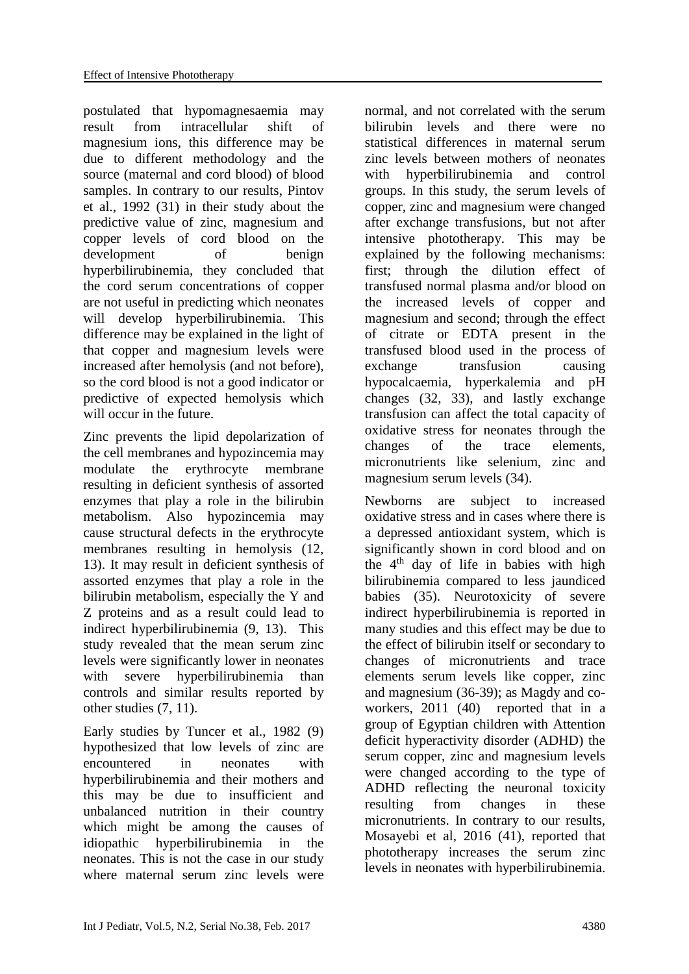postulated that hypomagnesaemia may result from intracellular shift of magnesium ions, this difference may be due to different methodology and the source (maternal and cord blood) of blood samples. In contrary to our results, Pintov et al., 1992 (31) in their study about the predictive value of zinc, magnesium and copper levels of cord blood on the development of benign hyperbilirubinemia, they concluded that the cord serum concentrations of copper are not useful in predicting which neonates will develop hyperbilirubinemia. This difference may be explained in the light of that copper and magnesium levels were increased after hemolysis (and not before), so the cord blood is not a good indicator or predictive of expected hemolysis which will occur in the future.

Zinc prevents the lipid depolarization of the cell membranes and hypozincemia may modulate the erythrocyte membrane resulting in deficient synthesis of assorted enzymes that play a role in the bilirubin metabolism. Also hypozincemia may cause structural defects in the erythrocyte membranes resulting in hemolysis (12, 13). It may result in deficient synthesis of assorted enzymes that play a role in the bilirubin metabolism, especially the Y and Z proteins and as a result could lead to indirect hyperbilirubinemia (9, 13). This study revealed that the mean serum zinc levels were significantly lower in neonates with severe hyperbilirubinemia than controls and similar results reported by other studies (7, 11).

Early studies by Tuncer et al., 1982 (9) hypothesized that low levels of zinc are encountered in neonates with hyperbilirubinemia and their mothers and this may be due to insufficient and unbalanced nutrition in their country which might be among the causes of idiopathic hyperbilirubinemia in the neonates. This is not the case in our study where maternal serum zinc levels were normal, and not correlated with the serum bilirubin levels and there were no statistical differences in maternal serum zinc levels between mothers of neonates with hyperbilirubinemia and control groups. In this study, the serum levels of copper, zinc and magnesium were changed after exchange transfusions, but not after intensive phototherapy. This may be explained by the following mechanisms: first; through the dilution effect of transfused normal plasma and/or blood on the increased levels of copper and magnesium and second; through the effect of citrate or EDTA present in the transfused blood used in the process of exchange transfusion causing hypocalcaemia, hyperkalemia and pH changes (32, 33), and lastly exchange transfusion can affect the total capacity of oxidative stress for neonates through the changes of the trace elements, micronutrients like selenium, zinc and magnesium serum levels (34).

Newborns are subject to increased oxidative stress and in cases where there is a depressed antioxidant system, which is significantly shown in cord blood and on the  $4<sup>th</sup>$  day of life in babies with high bilirubinemia compared to less jaundiced babies (35). Neurotoxicity of severe indirect hyperbilirubinemia is reported in many studies and this effect may be due to the effect of bilirubin itself or secondary to changes of micronutrients and trace elements serum levels like copper, zinc and magnesium (36-39); as Magdy and coworkers, 2011 (40) reported that in a group of Egyptian children with Attention deficit hyperactivity disorder (ADHD) the serum copper, zinc and magnesium levels were changed according to the type of ADHD reflecting the neuronal toxicity resulting from changes in these micronutrients. In contrary to our results, Mosayebi et al, 2016 (41), reported that phototherapy increases the serum zinc levels in neonates with hyperbilirubinemia.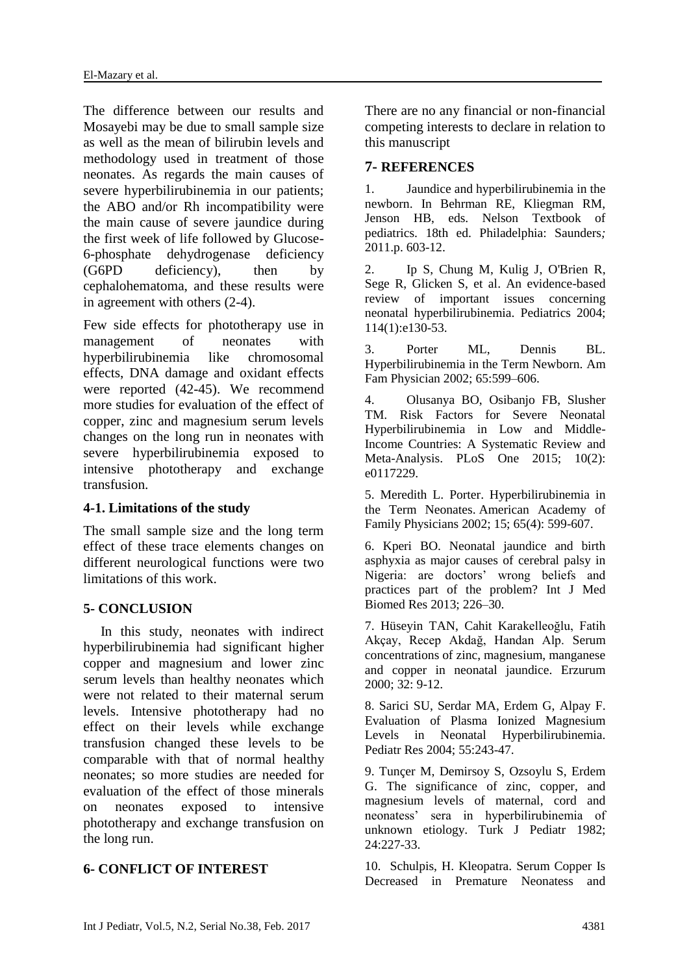The difference between our results and Mosayebi may be due to small sample size as well as the mean of bilirubin levels and methodology used in treatment of those neonates. As regards the main causes of severe hyperbilirubinemia in our patients; the ABO and/or Rh incompatibility were the main cause of severe jaundice during the first week of life followed by Glucose-6-phosphate dehydrogenase deficiency (G6PD deficiency), then by cephalohematoma, and these results were in agreement with others (2-4).

Few side effects for phototherapy use in management of neonates with hyperbilirubinemia like chromosomal effects, DNA damage and oxidant effects were reported (42-45). We recommend more studies for evaluation of the effect of copper, zinc and magnesium serum levels changes on the long run in neonates with severe hyperbilirubinemia exposed to intensive phototherapy and exchange transfusion.

## **4-1. Limitations of the study**

The small sample size and the long term effect of these trace elements changes on different neurological functions were two limitations of this work.

#### **5- CONCLUSION**

 In this study, neonates with indirect hyperbilirubinemia had significant higher copper and magnesium and lower zinc serum levels than healthy neonates which were not related to their maternal serum levels. Intensive phototherapy had no effect on their levels while exchange transfusion changed these levels to be comparable with that of normal healthy neonates; so more studies are needed for evaluation of the effect of those minerals on neonates exposed to intensive phototherapy and exchange transfusion on the long run.

## **6- CONFLICT OF INTEREST**

There are no any financial or non-financial competing interests to declare in relation to this manuscript

#### **7- REFERENCES**

1. Jaundice and hyperbilirubinemia in the newborn. In Behrman RE, Kliegman RM, Jenson HB, eds. Nelson Textbook of pediatrics. 18th ed. Philadelphia: Saunders*;*  2011.p. 603-12.

2. [Ip S,](https://www.ncbi.nlm.nih.gov/pubmed/?term=Ip%20S%5BAuthor%5D&cauthor=true&cauthor_uid=15231986) [Chung M,](https://www.ncbi.nlm.nih.gov/pubmed/?term=Chung%20M%5BAuthor%5D&cauthor=true&cauthor_uid=15231986) [Kulig J,](https://www.ncbi.nlm.nih.gov/pubmed/?term=Kulig%20J%5BAuthor%5D&cauthor=true&cauthor_uid=15231986) [O'Brien R,](https://www.ncbi.nlm.nih.gov/pubmed/?term=O) [Sege R,](https://www.ncbi.nlm.nih.gov/pubmed/?term=Sege%20R%5BAuthor%5D&cauthor=true&cauthor_uid=15231986) [Glicken S,](https://www.ncbi.nlm.nih.gov/pubmed/?term=Glicken%20S%5BAuthor%5D&cauthor=true&cauthor_uid=15231986) et al. An evidence-based review of important issues concerning neonatal hyperbilirubinemia. [Pediatrics](https://www.ncbi.nlm.nih.gov/pubmed/15231986) 2004; 114(1):e130-53.

3. Porter ML, Dennis BL. Hyperbilirubinemia in the Term Newborn. Am Fam Physician 2002; 65:599–606.

4. [Olusanya BO,](https://www.ncbi.nlm.nih.gov/pubmed/?term=Olusanya%20BO%5BAuthor%5D&cauthor=true&cauthor_uid=25675342) [Osibanjo FB,](https://www.ncbi.nlm.nih.gov/pubmed/?term=Osibanjo%20FB%5BAuthor%5D&cauthor=true&cauthor_uid=25675342) [Slusher](https://www.ncbi.nlm.nih.gov/pubmed/?term=Slusher%20TM%5BAuthor%5D&cauthor=true&cauthor_uid=25675342)  [TM.](https://www.ncbi.nlm.nih.gov/pubmed/?term=Slusher%20TM%5BAuthor%5D&cauthor=true&cauthor_uid=25675342) Risk Factors for Severe Neonatal Hyperbilirubinemia in Low and Middle-Income Countries: A Systematic Review and Meta-Analysis. PLoS One 2015; 10(2): e0117229.

5. Meredith L. Porter. Hyperbilirubinemia in the Term Neonates. American Academy of Family Physicians 2002; 15; 65(4): 599-607.

6. Kperi BO. Neonatal jaundice and birth asphyxia as major causes of cerebral palsy in Nigeria: are doctors' wrong beliefs and practices part of the problem? Int J Med Biomed Res 2013; 226–30.

7. Hüseyin TAN, Cahit Karakelleoğlu, Fatih Akçay, Recep Akdağ, Handan Alp. Serum concentrations of zinc, magnesium, manganese and copper in neonatal jaundice. Erzurum 2000; 32: 9-12.

8. [Sarici SU,](https://www.ncbi.nlm.nih.gov/pubmed/?term=Sarici%20SU%5BAuthor%5D&cauthor=true&cauthor_uid=14630992) [Serdar MA,](https://www.ncbi.nlm.nih.gov/pubmed/?term=Serdar%20MA%5BAuthor%5D&cauthor=true&cauthor_uid=14630992) [Erdem G,](https://www.ncbi.nlm.nih.gov/pubmed/?term=Erdem%20G%5BAuthor%5D&cauthor=true&cauthor_uid=14630992) [Alpay F.](https://www.ncbi.nlm.nih.gov/pubmed/?term=Alpay%20F%5BAuthor%5D&cauthor=true&cauthor_uid=14630992) Evaluation of Plasma Ionized Magnesium Levels in Neonatal Hyperbilirubinemia. Pediatr Res 2004; 55:243-47.

9. [Tunçer M,](https://www.ncbi.nlm.nih.gov/pubmed/?term=Tun%C3%A7er%20M%5BAuthor%5D&cauthor=true&cauthor_uid=6926787) [Demirsoy S,](https://www.ncbi.nlm.nih.gov/pubmed/?term=Demirsoy%20S%5BAuthor%5D&cauthor=true&cauthor_uid=6926787) [Ozsoylu S,](https://www.ncbi.nlm.nih.gov/pubmed/?term=Ozsoylu%20S%5BAuthor%5D&cauthor=true&cauthor_uid=6926787) [Erdem](https://www.ncbi.nlm.nih.gov/pubmed/?term=Erdem%20G%5BAuthor%5D&cauthor=true&cauthor_uid=6926787)  [G.](https://www.ncbi.nlm.nih.gov/pubmed/?term=Erdem%20G%5BAuthor%5D&cauthor=true&cauthor_uid=6926787) The significance of zinc, copper, and magnesium levels of maternal, cord and neonatess' sera in hyperbilirubinemia of unknown etiology. Turk J Pediatr 1982; 24:227-33.

10. Schulpis, H. Kleopatra. Serum Copper Is Decreased in Premature Neonatess and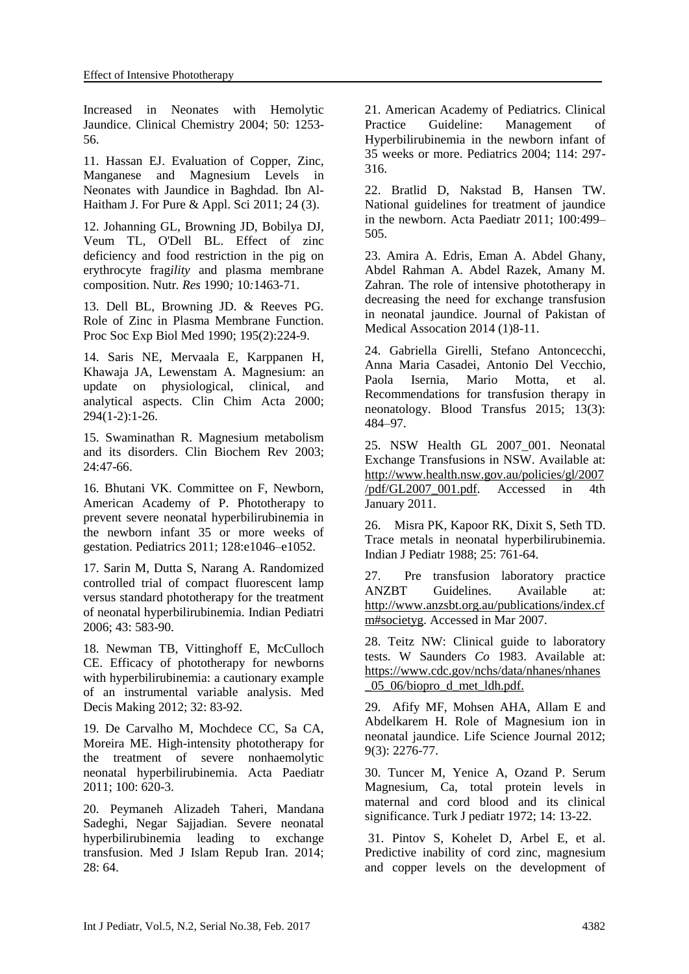Increased in Neonates with Hemolytic Jaundice. Clinical Chemistry 2004; 50: 1253- 56.

11. Hassan EJ. Evaluation of Copper, Zinc, Manganese and Magnesium Levels in Neonates with Jaundice in Baghdad. Ibn Al-Haitham J. For Pure & Appl. Sci 2011; 24 (3).

12. [Johanning GL,](https://www.ncbi.nlm.nih.gov/pubmed/?term=Johanning%20GL%5BAuthor%5D&cauthor=true&cauthor_uid=2172996) [Browning JD,](https://www.ncbi.nlm.nih.gov/pubmed/?term=Browning%20JD%5BAuthor%5D&cauthor=true&cauthor_uid=2172996) [Bobilya DJ,](https://www.ncbi.nlm.nih.gov/pubmed/?term=Bobilya%20DJ%5BAuthor%5D&cauthor=true&cauthor_uid=2172996) [Veum TL,](https://www.ncbi.nlm.nih.gov/pubmed/?term=Veum%20TL%5BAuthor%5D&cauthor=true&cauthor_uid=2172996) [O'Dell BL.](https://www.ncbi.nlm.nih.gov/pubmed/?term=O) Effect of zinc deficiency and food restriction in the pig on erythrocyte frag*ility* and plasma membrane composition. Nutr*. Res* 1990*;* 10*:*1463*-*71.

13. Dell BL, Browning JD. & Reeves PG. Role of Zinc in Plasma Membrane Function. [Proc Soc Exp Biol Med](https://www.ncbi.nlm.nih.gov/pubmed/2172996) 1990; 195(2):224-9.

14. [Saris NE,](https://www.ncbi.nlm.nih.gov/pubmed/?term=Saris%20NE%5BAuthor%5D&cauthor=true&cauthor_uid=10727669) [Mervaala E,](https://www.ncbi.nlm.nih.gov/pubmed/?term=Mervaala%20E%5BAuthor%5D&cauthor=true&cauthor_uid=10727669) [Karppanen H,](https://www.ncbi.nlm.nih.gov/pubmed/?term=Karppanen%20H%5BAuthor%5D&cauthor=true&cauthor_uid=10727669) [Khawaja JA,](https://www.ncbi.nlm.nih.gov/pubmed/?term=Khawaja%20JA%5BAuthor%5D&cauthor=true&cauthor_uid=10727669) [Lewenstam A.](https://www.ncbi.nlm.nih.gov/pubmed/?term=Lewenstam%20A%5BAuthor%5D&cauthor=true&cauthor_uid=10727669) Magnesium: an update on physiological, clinical, and analytical aspects. [Clin Chim Acta](https://www.ncbi.nlm.nih.gov/pubmed/10727669) 2000; 294(1-2):1-26.

15. Swaminathan R. Magnesium metabolism and its disorders. Clin Biochem Rev 2003;  $24.47 - 66$ 

16. Bhutani VK. Committee on F, Newborn, American Academy of P. Phototherapy to prevent severe neonatal hyperbilirubinemia in the newborn infant 35 or more weeks of gestation. Pediatrics 2011; 128:e1046–e1052.

17. Sarin M, Dutta S, Narang A. Randomized controlled trial of compact fluorescent lamp versus standard phototherapy for the treatment of neonatal hyperbilirubinemia. Indian Pediatri 2006; 43: 583-90.

18. Newman TB, Vittinghoff E, McCulloch CE. Efficacy of phototherapy for newborns with hyperbilirubinemia: a cautionary example of an instrumental variable analysis. Med Decis Making 2012; 32: 83-92.

19. De Carvalho M, Mochdece CC, Sa CA, Moreira ME. High-intensity phototherapy for the treatment of severe nonhaemolytic neonatal hyperbilirubinemia. Acta Paediatr 2011; 100: 620-3.

20. [Peymaneh Alizadeh Taheri,](http://www.ncbi.nlm.nih.gov/pubmed/?term=Alizadeh%20Taheri%20P%5Bauth%5D) [Mandana](http://www.ncbi.nlm.nih.gov/pubmed/?term=Sadeghi%20M%5Bauth%5D)  [Sadeghi,](http://www.ncbi.nlm.nih.gov/pubmed/?term=Sadeghi%20M%5Bauth%5D) [Negar Sajjadian.](http://www.ncbi.nlm.nih.gov/pubmed/?term=Sajjadian%20N%5Bauth%5D) Severe neonatal hyperbilirubinemia leading to exchange transfusion. Med J Islam Repub Iran. 2014; 28: 64.

21. American Academy of Pediatrics. Clinical Practice Guideline: Management of Hyperbilirubinemia in the newborn infant of 35 weeks or more. Pediatrics 2004; 114: 297- 316.

22. Bratlid D, Nakstad B, Hansen TW. National guidelines for treatment of jaundice in the newborn. Acta Paediatr 2011; 100:499– 505.

23. Amira A. Edris, Eman A. Abdel Ghany, Abdel Rahman A. Abdel Razek, Amany M. Zahran. The role of intensive phototherapy in decreasing the need for exchange transfusion in neonatal jaundice. Journal of Pakistan of Medical Assocation 2014 (1)8-11.

24. [Gabriella Girelli,](http://www.ncbi.nlm.nih.gov/pubmed/?term=Girelli%20G%5Bauth%5D) [Stefano Antoncecchi,](http://www.ncbi.nlm.nih.gov/pubmed/?term=Antoncecchi%20S%5Bauth%5D) [Anna Maria Casadei,](http://www.ncbi.nlm.nih.gov/pubmed/?term=Casadei%20AM%5Bauth%5D) [Antonio Del Vecchio,](http://www.ncbi.nlm.nih.gov/pubmed/?term=Del%20Vecchio%20A%5Bauth%5D) [Paola Isernia,](http://www.ncbi.nlm.nih.gov/pubmed/?term=Isernia%20P%5Bauth%5D) [Mario Motta,](http://www.ncbi.nlm.nih.gov/pubmed/?term=Motta%20M%5Bauth%5D) et al. Recommendations for transfusion therapy in neonatology. Blood Transfus 2015; 13(3): 484–97.

25. NSW Health GL 2007\_001. Neonatal Exchange Transfusions in NSW. Available at: http://www.health.nsw.gov.au/policies/gl/2007 /pdf/GL2007\_001.pdf. Accessed in 4th January 2011.

26. [Misra PK,](https://www.ncbi.nlm.nih.gov/pubmed/?term=Misra%20PK%5BAuthor%5D&cauthor=true&cauthor_uid=3220565) [Kapoor RK,](https://www.ncbi.nlm.nih.gov/pubmed/?term=Kapoor%20RK%5BAuthor%5D&cauthor=true&cauthor_uid=3220565) [Dixit S,](https://www.ncbi.nlm.nih.gov/pubmed/?term=Dixit%20S%5BAuthor%5D&cauthor=true&cauthor_uid=3220565) [Seth TD.](https://www.ncbi.nlm.nih.gov/pubmed/?term=Seth%20TD%5BAuthor%5D&cauthor=true&cauthor_uid=3220565) Trace metals in neonatal hyperbilirubinemia. Indian J Pediatr 1988; 25: 761-64.

27. Pre transfusion laboratory practice ANZBT Guidelines. Available at: http://www.anzsbt.org.au/publications/index.cf m#societyg. Accessed in Mar 2007.

28. Teitz NW: Clinical guide to laboratory tests. W Saunders *Co* 1983. Available at: https://www.cdc.gov/nchs/data/nhanes/nhanes \_05\_06/biopro\_d\_met\_ldh.pdf.

29. Afify MF, Mohsen AHA, Allam E and Abdelkarem H. Role of Magnesium ion in neonatal jaundice. Life Science Journal 2012; 9(3): 2276-77.

30. Tuncer M, Yenice A, Ozand P. Serum Magnesium, Ca, total protein levels in maternal and cord blood and its clinical significance. Turk J pediatr 1972; 14: 13-22.

31. Pintov S, Kohelet D, Arbel E, et al. Predictive inability of cord zinc, magnesium and copper levels on the development of